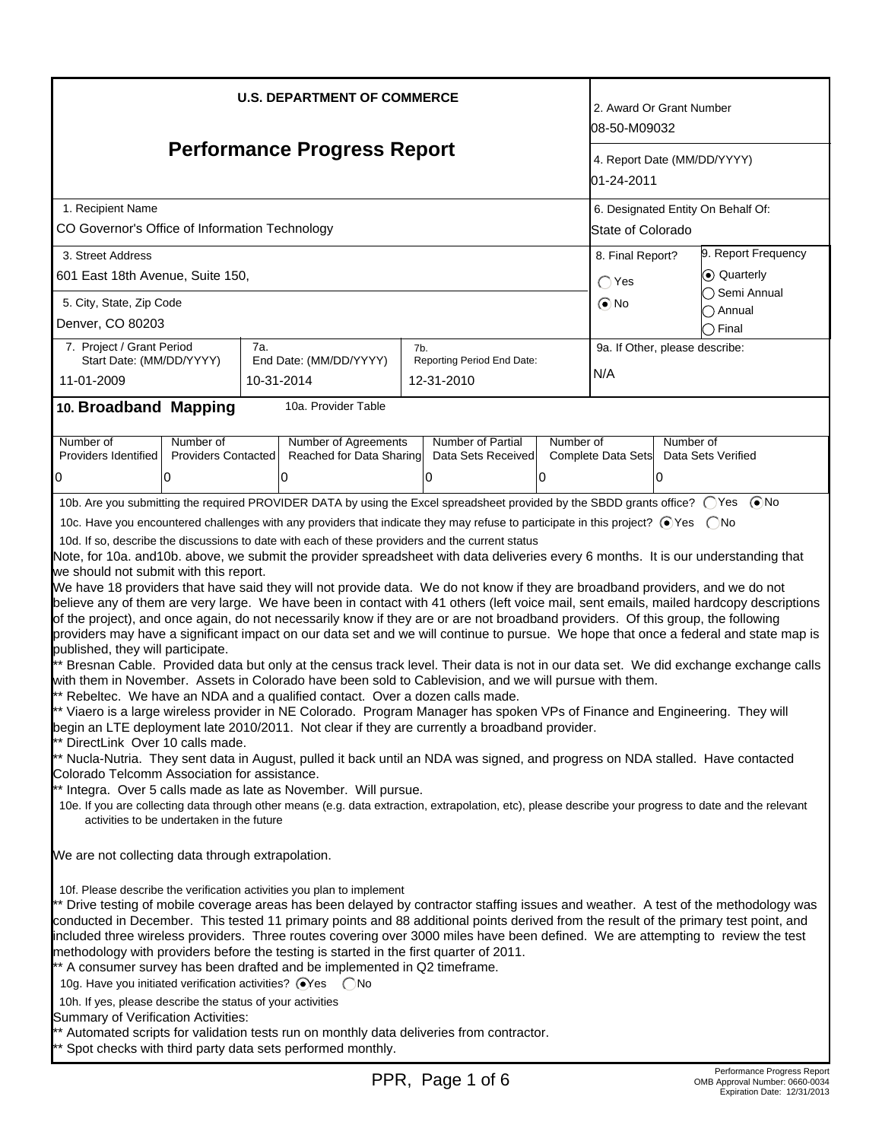|                                                                                                                                                                                                                                                                                                                                                                                                                                                                                                                                                                                                                                                                                                                                                                                                                                                                                                                                                                                                                                                                                                                                                                                                                                                                                                                                                                                                                                                                                                                                                                                                                                                                                                                                                                                                                                                                                                                                                                                                                                                                                                                                                                                                                            | l08-50-M09032                                                                                  | 2. Award Or Grant Number                                |                                       |                     |  |  |
|----------------------------------------------------------------------------------------------------------------------------------------------------------------------------------------------------------------------------------------------------------------------------------------------------------------------------------------------------------------------------------------------------------------------------------------------------------------------------------------------------------------------------------------------------------------------------------------------------------------------------------------------------------------------------------------------------------------------------------------------------------------------------------------------------------------------------------------------------------------------------------------------------------------------------------------------------------------------------------------------------------------------------------------------------------------------------------------------------------------------------------------------------------------------------------------------------------------------------------------------------------------------------------------------------------------------------------------------------------------------------------------------------------------------------------------------------------------------------------------------------------------------------------------------------------------------------------------------------------------------------------------------------------------------------------------------------------------------------------------------------------------------------------------------------------------------------------------------------------------------------------------------------------------------------------------------------------------------------------------------------------------------------------------------------------------------------------------------------------------------------------------------------------------------------------------------------------------------------|------------------------------------------------------------------------------------------------|---------------------------------------------------------|---------------------------------------|---------------------|--|--|
| <b>Performance Progress Report</b>                                                                                                                                                                                                                                                                                                                                                                                                                                                                                                                                                                                                                                                                                                                                                                                                                                                                                                                                                                                                                                                                                                                                                                                                                                                                                                                                                                                                                                                                                                                                                                                                                                                                                                                                                                                                                                                                                                                                                                                                                                                                                                                                                                                         | 01-24-2011                                                                                     | 4. Report Date (MM/DD/YYYY)                             |                                       |                     |  |  |
| 1. Recipient Name<br>CO Governor's Office of Information Technology                                                                                                                                                                                                                                                                                                                                                                                                                                                                                                                                                                                                                                                                                                                                                                                                                                                                                                                                                                                                                                                                                                                                                                                                                                                                                                                                                                                                                                                                                                                                                                                                                                                                                                                                                                                                                                                                                                                                                                                                                                                                                                                                                        |                                                                                                | 6. Designated Entity On Behalf Of:<br>State of Colorado |                                       |                     |  |  |
| 3. Street Address<br>601 East 18th Avenue, Suite 150,                                                                                                                                                                                                                                                                                                                                                                                                                                                                                                                                                                                                                                                                                                                                                                                                                                                                                                                                                                                                                                                                                                                                                                                                                                                                                                                                                                                                                                                                                                                                                                                                                                                                                                                                                                                                                                                                                                                                                                                                                                                                                                                                                                      | 8. Final Report?<br>$\bigcirc$ Yes                                                             | 9. Report Frequency<br>C Quarterly<br>◯ Semi Annual     |                                       |                     |  |  |
| 5. City, State, Zip Code<br>Denver, CO 80203                                                                                                                                                                                                                                                                                                                                                                                                                                                                                                                                                                                                                                                                                                                                                                                                                                                                                                                                                                                                                                                                                                                                                                                                                                                                                                                                                                                                                                                                                                                                                                                                                                                                                                                                                                                                                                                                                                                                                                                                                                                                                                                                                                               |                                                                                                |                                                         | $\odot$ No                            | ∩ Annual<br>◯ Final |  |  |
| 7. Project / Grant Period<br>Start Date: (MM/DD/YYYY)<br>11-01-2009                                                                                                                                                                                                                                                                                                                                                                                                                                                                                                                                                                                                                                                                                                                                                                                                                                                                                                                                                                                                                                                                                                                                                                                                                                                                                                                                                                                                                                                                                                                                                                                                                                                                                                                                                                                                                                                                                                                                                                                                                                                                                                                                                        | 7a.<br>7b.<br>Reporting Period End Date:<br>End Date: (MM/DD/YYYY)<br>10-31-2014<br>12-31-2010 |                                                         | 9a. If Other, please describe:<br>N/A |                     |  |  |
| 10. Broadband Mapping                                                                                                                                                                                                                                                                                                                                                                                                                                                                                                                                                                                                                                                                                                                                                                                                                                                                                                                                                                                                                                                                                                                                                                                                                                                                                                                                                                                                                                                                                                                                                                                                                                                                                                                                                                                                                                                                                                                                                                                                                                                                                                                                                                                                      | 10a. Provider Table                                                                            |                                                         |                                       |                     |  |  |
| Number of<br>Number of<br>Number of Agreements<br>Number of Partial<br>Number of<br>Number of<br>Providers Identified<br><b>Providers Contacted</b><br>Reached for Data Sharing<br>Complete Data Sets<br>Data Sets Verified<br>Data Sets Received<br>0<br>0<br>0<br>0<br>10<br><sup>0</sup>                                                                                                                                                                                                                                                                                                                                                                                                                                                                                                                                                                                                                                                                                                                                                                                                                                                                                                                                                                                                                                                                                                                                                                                                                                                                                                                                                                                                                                                                                                                                                                                                                                                                                                                                                                                                                                                                                                                                |                                                                                                |                                                         |                                       |                     |  |  |
| 10b. Are you submitting the required PROVIDER DATA by using the Excel spreadsheet provided by the SBDD grants office? ○ Yes ● No<br>10c. Have you encountered challenges with any providers that indicate they may refuse to participate in this project? ⊙Yes  ONo<br>10d. If so, describe the discussions to date with each of these providers and the current status<br>Note, for 10a. and 10b. above, we submit the provider spreadsheet with data deliveries every 6 months. It is our understanding that<br>we should not submit with this report.<br>We have 18 providers that have said they will not provide data. We do not know if they are broadband providers, and we do not<br>believe any of them are very large. We have been in contact with 41 others (left voice mail, sent emails, mailed hardcopy descriptions<br>of the project), and once again, do not necessarily know if they are or are not broadband providers. Of this group, the following<br>providers may have a significant impact on our data set and we will continue to pursue. We hope that once a federal and state map is<br>published, they will participate.<br>** Bresnan Cable. Provided data but only at the census track level. Their data is not in our data set. We did exchange exchange calls<br>with them in November. Assets in Colorado have been sold to Cablevision, and we will pursue with them.<br>** Rebeltec. We have an NDA and a qualified contact. Over a dozen calls made.<br>** Viaero is a large wireless provider in NE Colorado. Program Manager has spoken VPs of Finance and Engineering. They will<br>begin an LTE deployment late 2010/2011. Not clear if they are currently a broadband provider.<br>** DirectLink Over 10 calls made.<br>** Nucla-Nutria. They sent data in August, pulled it back until an NDA was signed, and progress on NDA stalled. Have contacted<br>Colorado Telcomm Association for assistance.<br>** Integra. Over 5 calls made as late as November. Will pursue.<br>10e. If you are collecting data through other means (e.g. data extraction, extrapolation, etc), please describe your progress to date and the relevant<br>activities to be undertaken in the future |                                                                                                |                                                         |                                       |                     |  |  |
| We are not collecting data through extrapolation.<br>10f. Please describe the verification activities you plan to implement<br>** Drive testing of mobile coverage areas has been delayed by contractor staffing issues and weather. A test of the methodology was<br>conducted in December. This tested 11 primary points and 88 additional points derived from the result of the primary test point, and<br>included three wireless providers. Three routes covering over 3000 miles have been defined. We are attempting to review the test<br>methodology with providers before the testing is started in the first quarter of 2011.<br>** A consumer survey has been drafted and be implemented in Q2 timeframe.<br>10g. Have you initiated verification activities? @Yes CNo<br>10h. If yes, please describe the status of your activities<br>Summary of Verification Activities:<br>** Automated scripts for validation tests run on monthly data deliveries from contractor.<br>Spot checks with third party data sets performed monthly.                                                                                                                                                                                                                                                                                                                                                                                                                                                                                                                                                                                                                                                                                                                                                                                                                                                                                                                                                                                                                                                                                                                                                                          |                                                                                                |                                                         |                                       |                     |  |  |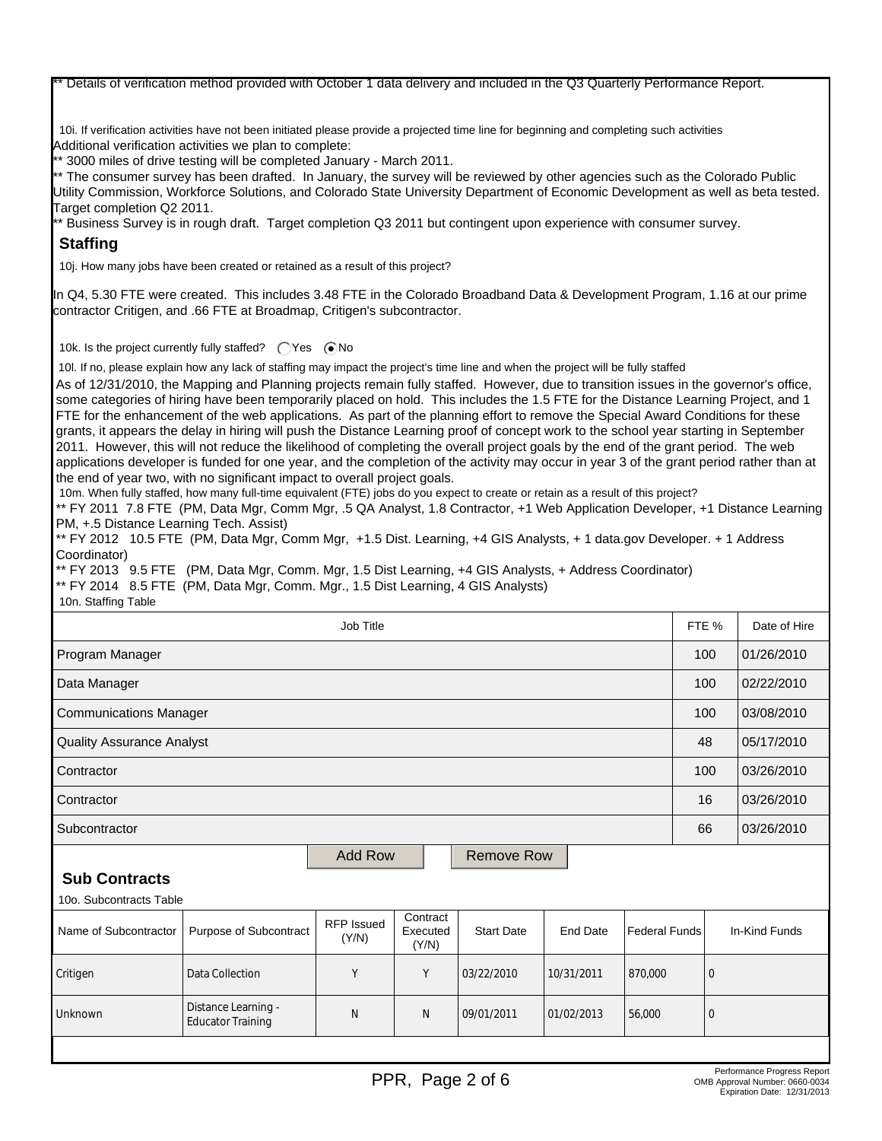Details of verification method provided with October 1 data delivery and included in the Q3 Quarterly Performance Report.

10i. If verification activities have not been initiated please provide a projected time line for beginning and completing such activities Additional verification activities we plan to complete:

\*\* 3000 miles of drive testing will be completed January - March 2011.

\*\* The consumer survey has been drafted. In January, the survey will be reviewed by other agencies such as the Colorado Public Utility Commission, Workforce Solutions, and Colorado State University Department of Economic Development as well as beta tested. Target completion Q2 2011.

\*\* Business Survey is in rough draft. Target completion Q3 2011 but contingent upon experience with consumer survey.

### **Staffing**

10j. How many jobs have been created or retained as a result of this project?

In Q4, 5.30 FTE were created. This includes 3.48 FTE in the Colorado Broadband Data & Development Program, 1.16 at our prime contractor Critigen, and .66 FTE at Broadmap, Critigen's subcontractor.

10k. Is the project currently fully staffed?  $\bigcirc$  Yes  $\bigcirc$  No

10l. If no, please explain how any lack of staffing may impact the project's time line and when the project will be fully staffed

As of 12/31/2010, the Mapping and Planning projects remain fully staffed. However, due to transition issues in the governor's office, some categories of hiring have been temporarily placed on hold. This includes the 1.5 FTE for the Distance Learning Project, and 1 FTE for the enhancement of the web applications. As part of the planning effort to remove the Special Award Conditions for these grants, it appears the delay in hiring will push the Distance Learning proof of concept work to the school year starting in September 2011. However, this will not reduce the likelihood of completing the overall project goals by the end of the grant period. The web applications developer is funded for one year, and the completion of the activity may occur in year 3 of the grant period rather than at the end of year two, with no significant impact to overall project goals.

10m. When fully staffed, how many full-time equivalent (FTE) jobs do you expect to create or retain as a result of this project?

\*\* FY 2011 7.8 FTE (PM, Data Mgr, Comm Mgr, .5 QA Analyst, 1.8 Contractor, +1 Web Application Developer, +1 Distance Learning PM, +.5 Distance Learning Tech. Assist)

\*\* FY 2012 10.5 FTE (PM, Data Mgr, Comm Mgr, +1.5 Dist. Learning, +4 GIS Analysts, + 1 data.gov Developer. + 1 Address Coordinator)

\*\* FY 2013 9.5 FTE (PM, Data Mgr, Comm. Mgr, 1.5 Dist Learning, +4 GIS Analysts, + Address Coordinator)

\*\* FY 2014 8.5 FTE (PM, Data Mgr, Comm. Mgr., 1.5 Dist Learning, 4 GIS Analysts)

10n. Staffing Table

| Job Title                        |                                                 |                            |                               |                   |                 |                      | FTE %        | Date of Hire  |
|----------------------------------|-------------------------------------------------|----------------------------|-------------------------------|-------------------|-----------------|----------------------|--------------|---------------|
| Program Manager                  |                                                 |                            |                               |                   |                 |                      | 100          | 01/26/2010    |
| Data Manager                     |                                                 |                            |                               |                   |                 |                      | 100          | 02/22/2010    |
| <b>Communications Manager</b>    |                                                 |                            |                               |                   |                 |                      | 100          | 03/08/2010    |
| <b>Quality Assurance Analyst</b> |                                                 |                            |                               |                   |                 | 48                   | 05/17/2010   |               |
| Contractor                       |                                                 |                            |                               |                   |                 | 100                  | 03/26/2010   |               |
| Contractor                       |                                                 |                            |                               |                   |                 |                      | 16           | 03/26/2010    |
| Subcontractor                    |                                                 |                            |                               |                   |                 | 66                   | 03/26/2010   |               |
| <b>Add Row</b><br>Remove Row     |                                                 |                            |                               |                   |                 |                      |              |               |
| <b>Sub Contracts</b>             |                                                 |                            |                               |                   |                 |                      |              |               |
| 10o. Subcontracts Table          |                                                 |                            |                               |                   |                 |                      |              |               |
| Name of Subcontractor            | Purpose of Subcontract                          | <b>RFP</b> Issued<br>(Y/N) | Contract<br>Executed<br>(Y/N) | <b>Start Date</b> | <b>End Date</b> | <b>Federal Funds</b> |              | In-Kind Funds |
| Critigen                         | Data Collection                                 | Y                          | Y                             | 03/22/2010        | 10/31/2011      | 870,000              | $\mathbf{0}$ |               |
| Unknown                          | Distance Learning -<br><b>Educator Training</b> | N                          | N                             | 09/01/2011        | 01/02/2013      | 56,000               | $\mathbf 0$  |               |
|                                  |                                                 |                            |                               |                   |                 |                      |              |               |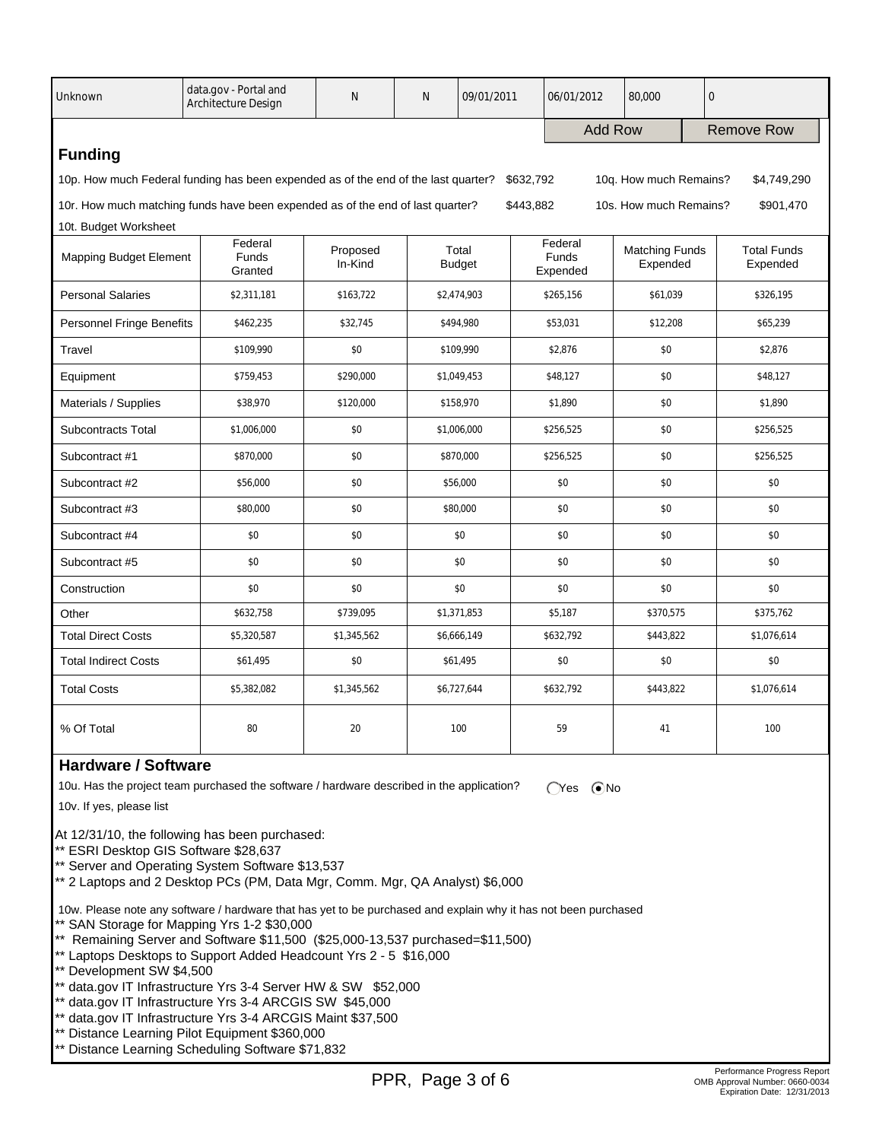| Unknown                                                                                                                                  | data.gov - Portal and<br><b>Architecture Design</b> | N                   | N | 09/01/2011             |                | 06/01/2012                          | 80,000                            | $\mathbf 0$       |                                |
|------------------------------------------------------------------------------------------------------------------------------------------|-----------------------------------------------------|---------------------|---|------------------------|----------------|-------------------------------------|-----------------------------------|-------------------|--------------------------------|
|                                                                                                                                          |                                                     |                     |   |                        | <b>Add Row</b> |                                     |                                   | <b>Remove Row</b> |                                |
| <b>Funding</b>                                                                                                                           |                                                     |                     |   |                        |                |                                     |                                   |                   |                                |
| 10p. How much Federal funding has been expended as of the end of the last quarter?<br>10q. How much Remains?<br>\$632,792<br>\$4,749,290 |                                                     |                     |   |                        |                |                                     |                                   |                   |                                |
| 10r. How much matching funds have been expended as of the end of last quarter?<br>\$443,882<br>10s. How much Remains?<br>\$901,470       |                                                     |                     |   |                        |                |                                     |                                   |                   |                                |
| 10t. Budget Worksheet                                                                                                                    |                                                     |                     |   |                        |                |                                     |                                   |                   |                                |
| <b>Mapping Budget Element</b>                                                                                                            | Federal<br><b>Funds</b><br>Granted                  | Proposed<br>In-Kind |   | Total<br><b>Budget</b> |                | Federal<br><b>Funds</b><br>Expended | <b>Matching Funds</b><br>Expended |                   | <b>Total Funds</b><br>Expended |
| <b>Personal Salaries</b>                                                                                                                 | \$2,311,181                                         | \$163,722           |   | \$2,474,903            |                | \$265,156                           | \$61.039                          |                   | \$326.195                      |
| <b>Personnel Fringe Benefits</b>                                                                                                         | \$462,235                                           | \$32,745            |   | \$494,980              |                | \$53,031                            | \$12,208                          |                   | \$65,239                       |
| Travel                                                                                                                                   | \$109,990                                           | \$0                 |   | \$109,990              |                | \$0<br>\$2,876                      |                                   |                   | \$2,876                        |
| Equipment                                                                                                                                | \$759,453                                           | \$290,000           |   | \$1,049,453            |                | \$48,127                            | \$0                               |                   | \$48,127                       |
| Materials / Supplies                                                                                                                     | \$38,970                                            | \$120,000           |   | \$158,970              |                | \$1,890                             | \$0                               |                   | \$1,890                        |
| <b>Subcontracts Total</b>                                                                                                                | \$1,006,000                                         | \$0                 |   | \$1,006,000            |                | \$256,525                           | \$0                               |                   | \$256,525                      |
| Subcontract #1                                                                                                                           | \$870,000                                           | \$0                 |   | \$870,000              |                | \$256,525                           | \$0                               |                   | \$256,525                      |
| Subcontract #2                                                                                                                           | \$56,000                                            | \$0                 |   | \$56,000               |                | \$0                                 | \$0                               |                   | \$0                            |
| Subcontract #3                                                                                                                           | \$80,000                                            | \$0                 |   | \$80,000               |                | \$0                                 | \$0                               |                   | \$0                            |
| Subcontract #4                                                                                                                           | \$0                                                 | \$0                 |   | \$0                    |                | \$0                                 | \$0                               |                   | \$0                            |
| Subcontract #5                                                                                                                           | \$0                                                 | \$0                 |   | \$0                    |                | \$0                                 | \$0                               |                   | \$0                            |
| Construction                                                                                                                             | \$0                                                 | \$0                 |   | \$0                    |                | \$0                                 | \$0                               |                   | \$0                            |
| Other                                                                                                                                    | \$632,758                                           | \$739,095           |   | \$1,371,853            |                | \$5,187                             | \$370,575                         |                   | \$375,762                      |
| <b>Total Direct Costs</b>                                                                                                                | \$5,320,587                                         | \$1,345,562         |   | \$6,666,149            |                | \$632,792                           | \$443,822                         |                   | \$1,076,614                    |
| <b>Total Indirect Costs</b>                                                                                                              | \$61,495                                            | \$0                 |   | \$61,495               |                | \$0                                 | \$0                               |                   | \$0                            |
| <b>Total Costs</b>                                                                                                                       | \$5,382,082                                         | \$1,345,562         |   | \$6,727,644            |                | \$632,792                           | \$443,822                         |                   | \$1,076,614                    |
| % Of Total                                                                                                                               | 80                                                  | 20                  |   | 100                    |                | 59                                  | 41                                |                   | 100                            |

## **Hardware / Software**

10u. Has the project team purchased the software / hardware described in the application?  $\bigcirc$  Yes  $\bigcirc$  No

10v. If yes, please list

At 12/31/10, the following has been purchased:

\*\* ESRI Desktop GIS Software \$28,637

\*\* Server and Operating System Software \$13,537

\*\* 2 Laptops and 2 Desktop PCs (PM, Data Mgr, Comm. Mgr, QA Analyst) \$6,000

 10w. Please note any software / hardware that has yet to be purchased and explain why it has not been purchased \*\* SAN Storage for Mapping Yrs 1-2 \$30,000

\*\* Remaining Server and Software \$11,500 (\$25,000-13,537 purchased=\$11,500)

- \*\* Laptops Desktops to Support Added Headcount Yrs 2 5 \$16,000
- \*\* Development SW \$4,500
- \*\* data.gov IT Infrastructure Yrs 3-4 Server HW & SW \$52,000
- \*\* data.gov IT Infrastructure Yrs 3-4 ARCGIS SW \$45,000
- \*\* data.gov IT Infrastructure Yrs 3-4 ARCGIS Maint \$37,500
- \*\* Distance Learning Pilot Equipment \$360,000
- Distance Learning Scheduling Software \$71,832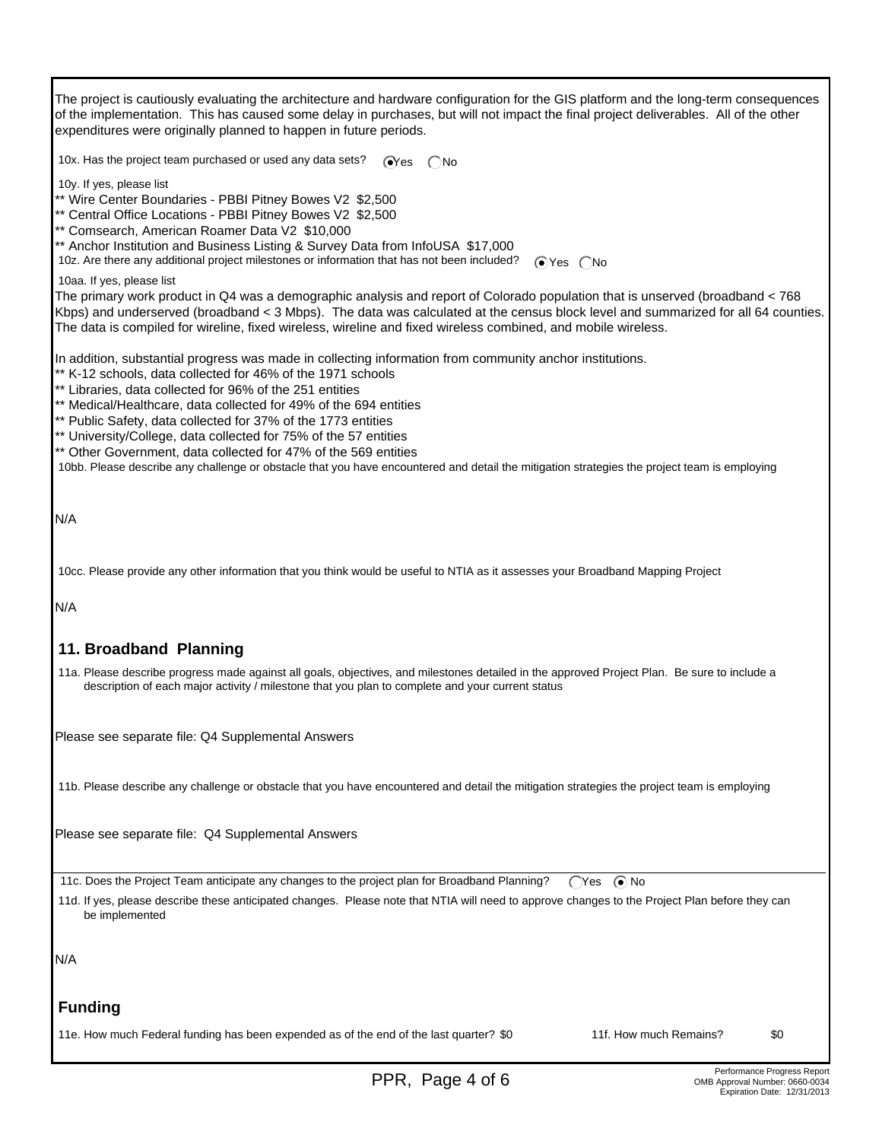The project is cautiously evaluating the architecture and hardware configuration for the GIS platform and the long-term consequences of the implementation. This has caused some delay in purchases, but will not impact the final project deliverables. All of the other expenditures were originally planned to happen in future periods. 10x. Has the project team purchased or used any data sets?  $\bigcirc$ Yes  $\bigcirc$ No

10y. If yes, please list

\*\* Wire Center Boundaries - PBBI Pitney Bowes V2 \$2,500

\*\* Central Office Locations - PBBI Pitney Bowes V2 \$2,500

\*\* Comsearch, American Roamer Data V2 \$10,000

\*\* Anchor Institution and Business Listing & Survey Data from InfoUSA \$17,000

10z. Are there any additional project milestones or information that has not been included?  $\bigcirc$  Yes  $\bigcirc$  No

10aa. If yes, please list

The primary work product in Q4 was a demographic analysis and report of Colorado population that is unserved (broadband < 768 Kbps) and underserved (broadband < 3 Mbps). The data was calculated at the census block level and summarized for all 64 counties. The data is compiled for wireline, fixed wireless, wireline and fixed wireless combined, and mobile wireless.

In addition, substantial progress was made in collecting information from community anchor institutions.

- \*\* K-12 schools, data collected for 46% of the 1971 schools
- \*\* Libraries, data collected for 96% of the 251 entities
- \*\* Medical/Healthcare, data collected for 49% of the 694 entities
- \*\* Public Safety, data collected for 37% of the 1773 entities
- \*\* University/College, data collected for 75% of the 57 entities
- \*\* Other Government, data collected for 47% of the 569 entities

10bb. Please describe any challenge or obstacle that you have encountered and detail the mitigation strategies the project team is employing

N/A

10cc. Please provide any other information that you think would be useful to NTIA as it assesses your Broadband Mapping Project

N/A

## **11. Broadband Planning**

 11a. Please describe progress made against all goals, objectives, and milestones detailed in the approved Project Plan. Be sure to include a description of each major activity / milestone that you plan to complete and your current status

Please see separate file: Q4 Supplemental Answers

11b. Please describe any challenge or obstacle that you have encountered and detail the mitigation strategies the project team is employing

Please see separate file: Q4 Supplemental Answers

11c. Does the Project Team anticipate any changes to the project plan for Broadband Planning? (Yes ( $\bullet$  No

 11d. If yes, please describe these anticipated changes. Please note that NTIA will need to approve changes to the Project Plan before they can be implemented

N/A

## **Funding**

11e. How much Federal funding has been expended as of the end of the last quarter? \$0 11f. How much Remains? \$0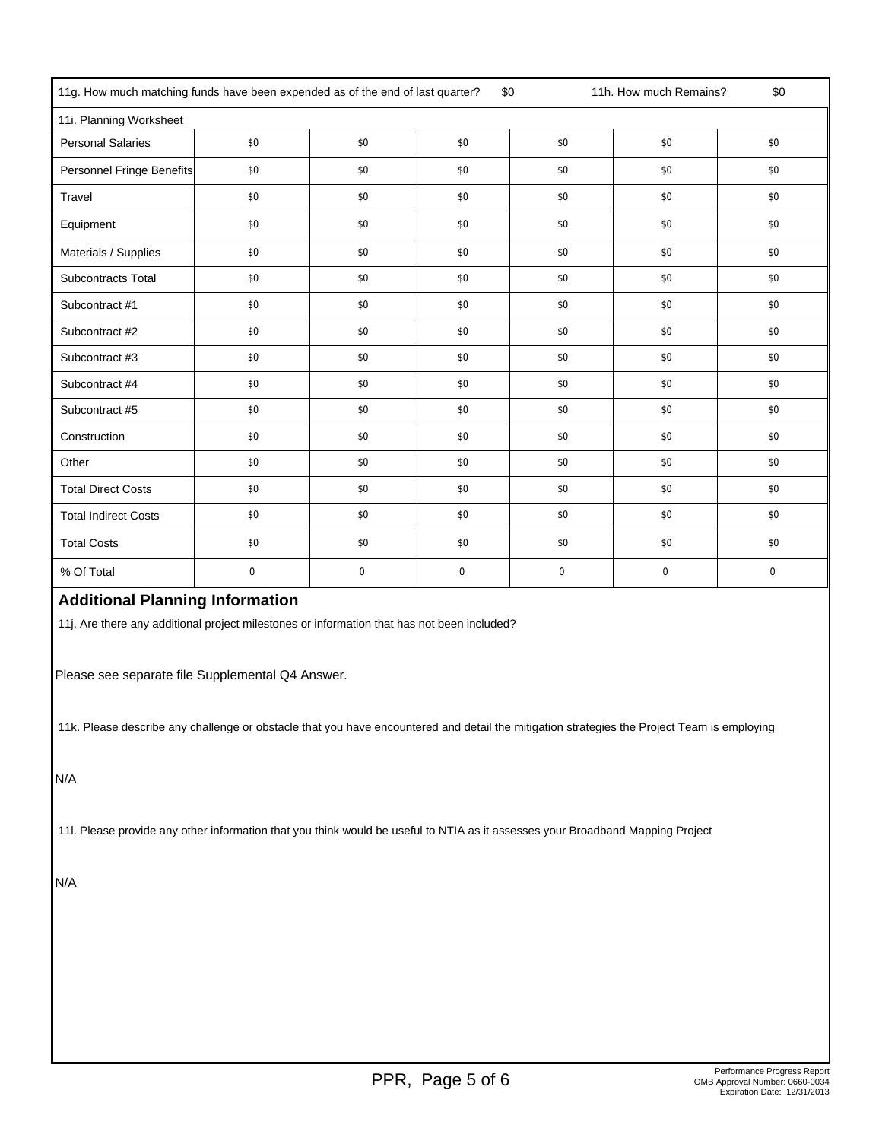| 11g. How much matching funds have been expended as of the end of last quarter?<br>11h. How much Remains?<br>\$0<br>\$0 |     |             |             |             |             |             |
|------------------------------------------------------------------------------------------------------------------------|-----|-------------|-------------|-------------|-------------|-------------|
| 11i. Planning Worksheet                                                                                                |     |             |             |             |             |             |
| <b>Personal Salaries</b>                                                                                               | \$0 | \$0         | \$0         | \$0         | \$0         | \$0         |
| Personnel Fringe Benefits                                                                                              | \$0 | \$0         | \$0         | \$0         | \$0         | \$0         |
| Travel                                                                                                                 | \$0 | \$0         | \$0         | \$0         | \$0         | \$0         |
| Equipment                                                                                                              | \$0 | \$0         | \$0         | \$0         | \$0         | \$0         |
| Materials / Supplies                                                                                                   | \$0 | \$0         | \$0         | \$0         | \$0         | \$0         |
| Subcontracts Total                                                                                                     | \$0 | \$0         | \$0         | \$0         | \$0         | \$0         |
| Subcontract #1                                                                                                         | \$0 | \$0         | \$0         | \$0         | \$0         | \$0         |
| Subcontract #2                                                                                                         | \$0 | \$0         | \$0         | \$0         | \$0         | \$0         |
| Subcontract #3                                                                                                         | \$0 | \$0         | \$0         | \$0         | \$0         | \$0         |
| Subcontract #4                                                                                                         | \$0 | \$0         | \$0         | \$0         | \$0         | \$0         |
| Subcontract #5                                                                                                         | \$0 | \$0         | \$0         | \$0         | \$0         | \$0         |
| Construction                                                                                                           | \$0 | \$0         | \$0         | \$0         | \$0         | \$0         |
| Other                                                                                                                  | \$0 | \$0         | \$0         | \$0         | \$0         | \$0         |
| <b>Total Direct Costs</b>                                                                                              | \$0 | \$0         | \$0         | \$0         | \$0         | \$0         |
| <b>Total Indirect Costs</b>                                                                                            | \$0 | \$0         | \$0         | \$0         | \$0         | \$0         |
| <b>Total Costs</b>                                                                                                     | \$0 | \$0         | \$0         | \$0         | \$0         | \$0         |
| % Of Total                                                                                                             | 0   | $\mathbf 0$ | $\mathbf 0$ | $\mathbf 0$ | $\mathbf 0$ | $\mathbf 0$ |

# **Additional Planning Information**

11j. Are there any additional project milestones or information that has not been included?

Please see separate file Supplemental Q4 Answer.

11k. Please describe any challenge or obstacle that you have encountered and detail the mitigation strategies the Project Team is employing

N/A

11l. Please provide any other information that you think would be useful to NTIA as it assesses your Broadband Mapping Project

N/A